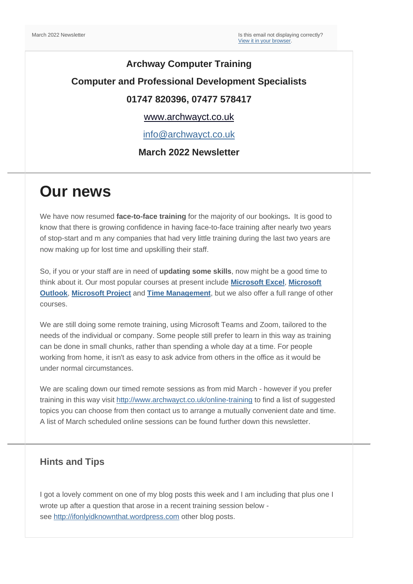### **Archway Computer Training Computer and Professional Development Specialists 01747 820396, 07477 578417**

[www.archwayct.co.uk](http://www.archwayct.co.uk/)

[info@archwayct.co.uk](mailto:%20info@archwayct.co.uk)

#### **March 2022 Newsletter**

## **Our news**

We have now resumed **face-to-face training** for the majority of our bookings**.** It is good to know that there is growing confidence in having face-to-face training after nearly two years of stop-start and m any companies that had very little training during the last two years are now making up for lost time and upskilling their staff.

So, if you or your staff are in need of **updating some skills**, now might be a good time to think about it. Our most popular courses at present include **[Microsoft Excel](http://www.archwayct.co.uk/microsoft-office-training/microsoft-excel-training)**, **[Microsoft](http://www.archwayct.co.uk/microsoft-office-training/microsoft-outlook-training)  [Outlook](http://www.archwayct.co.uk/microsoft-office-training/microsoft-outlook-training)**, **[Microsoft Project](http://www.archwayct.co.uk/it-training/microsoft-project-training)** and **[Time Management](http://www.archwayct.co.uk/professional-development-training/time-management-training)**, but we also offer a full range of other courses.

We are still doing some remote training, using Microsoft Teams and Zoom, tailored to the needs of the individual or company. Some people still prefer to learn in this way as training can be done in small chunks, rather than spending a whole day at a time. For people working from home, it isn't as easy to ask advice from others in the office as it would be under normal circumstances.

We are scaling down our timed remote sessions as from mid March - however if you prefer training in this way visit <http://www.archwayct.co.uk/online-training> to find a list of suggested topics you can choose from then contact us to arrange a mutually convenient date and time. A list of March scheduled online sessions can be found further down this newsletter.

#### **Hints and Tips**

I got a lovely comment on one of my blog posts this week and I am including that plus one I wrote up after a question that arose in a recent training session below see [http://ifonlyidknownthat.wordpress.com](http://ifonlyidknownthat.wordpress.com/) other blog posts.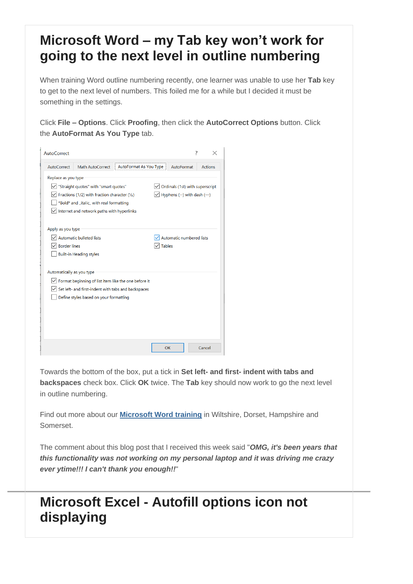### **Microsoft Word – my Tab key won't work for going to the next level in outline numbering**

When training Word outline numbering recently, one learner was unable to use her **Tab** key to get to the next level of numbers. This foiled me for a while but I decided it must be something in the settings.

Click **File – Options**. Click **Proofing**, then click the **AutoCorrect Options** button. Click the **AutoFormat As You Type** tab.

| AutoCorrect                                                              |                                                      |                        |                                                  |                          | 7 |                |
|--------------------------------------------------------------------------|------------------------------------------------------|------------------------|--------------------------------------------------|--------------------------|---|----------------|
| AutoCorrect                                                              | Math AutoCorrect                                     | AutoFormat As You Type |                                                  | AutoFormat               |   | <b>Actions</b> |
| Replace as you type                                                      |                                                      |                        |                                                  |                          |   |                |
| "Straight guotes" with "smart guotes"<br>Ordinals (1st) with superscript |                                                      |                        |                                                  |                          |   |                |
| $\sqrt{\ }$ Fractions (1/2) with fraction character (1/2)                |                                                      |                        | $\sqrt{\phantom{a}}$ Hyphens (--) with dash (--) |                          |   |                |
| *Bold* and _italic_ with real formatting                                 |                                                      |                        |                                                  |                          |   |                |
|                                                                          | Internet and network paths with hyperlinks           |                        |                                                  |                          |   |                |
| Apply as you type                                                        |                                                      |                        |                                                  |                          |   |                |
|                                                                          | <b>Automatic bulleted lists</b>                      |                        |                                                  | Automatic numbered lists |   |                |
|                                                                          | <b>Border lines</b>                                  |                        | <b>Tables</b>                                    |                          |   |                |
|                                                                          | <b>Built-in Heading styles</b>                       |                        |                                                  |                          |   |                |
|                                                                          |                                                      |                        |                                                  |                          |   |                |
| Automatically as you type                                                |                                                      |                        |                                                  |                          |   |                |
|                                                                          | Format beginning of list item like the one before it |                        |                                                  |                          |   |                |
|                                                                          | Set left- and first-indent with tabs and backspaces  |                        |                                                  |                          |   |                |
|                                                                          | Define styles based on your formatting               |                        |                                                  |                          |   |                |
|                                                                          |                                                      |                        |                                                  |                          |   |                |
|                                                                          |                                                      |                        |                                                  |                          |   |                |
|                                                                          |                                                      |                        |                                                  |                          |   |                |
|                                                                          |                                                      |                        |                                                  |                          |   |                |
|                                                                          |                                                      |                        | OK                                               |                          |   | Cancel         |

Towards the bottom of the box, put a tick in **Set left- and first- indent with tabs and backspaces** check box. Click **OK** twice. The **Tab** key should now work to go the next level in outline numbering.

Find out more about our **[Microsoft Word training](http://www.archwayct.co.uk/microsoft-office-training/microsoft-word-training)** in Wiltshire, Dorset, Hampshire and Somerset.

The comment about this blog post that I received this week said "*OMG, it's been years that this functionality was not working on my personal laptop and it was driving me crazy ever ytime!!! I can't thank you enough!!*"

### **Microsoft Excel - Autofill options icon not displaying**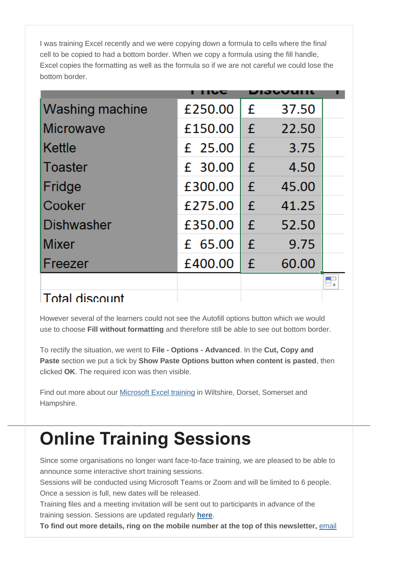I was training Excel recently and we were copying down a formula to cells where the final cell to be copied to had a bottom border. When we copy a formula using the fill handle, Excel copies the formatting as well as the formula so if we are not careful we could lose the bottom border.

| <b>Washing machine</b> | £250.00 | £ | 37.50 |  |
|------------------------|---------|---|-------|--|
| Microwave              | £150.00 | £ | 22.50 |  |
| <b>Kettle</b>          | £ 25.00 | £ | 3.75  |  |
| Toaster                | £ 30.00 | £ | 4.50  |  |
| Fridge                 | £300.00 | f | 45.00 |  |
| Cooker                 | £275.00 | £ | 41.25 |  |
| Dishwasher             | £350.00 | £ | 52.50 |  |
| Mixer                  | £ 65.00 | £ | 9.75  |  |
| Freezer                | £400.00 | £ | 60.00 |  |
| _______                |         |   |       |  |

### ⊥Total discount

However several of the learners could not see the Autofill options button which we would use to choose **Fill without formatting** and therefore still be able to see out bottom border.

To rectify the situation, we went to **File - Options - Advanced**. In the **Cut, Copy and Paste** section we put a tick by **Show Paste Options button when content is pasted**, then clicked **OK**. The required icon was then visible.

Find out more about our [Microsoft Excel training](http://www.archwayct.co.uk/microsoft-office-training/Microsoft-excel-training) in Wiltshire, Dorset, Somerset and Hampshire.

# **Online Training Sessions**

Since some organisations no longer want face-to-face training, we are pleased to be able to announce some interactive short training sessions.

Sessions will be conducted using Microsoft Teams or Zoom and will be limited to 6 people. Once a session is full, new dates will be released.

Training files and a meeting invitation will be sent out to participants in advance of the training session. Sessions are updated regularly **[here](http://www.archwayct.co.uk/online-training)**.

**To find out more details, ring on the mobile number at the top of this newsletter,** [email](mailto:info@archwayct.co.uk?subject=Online%20training)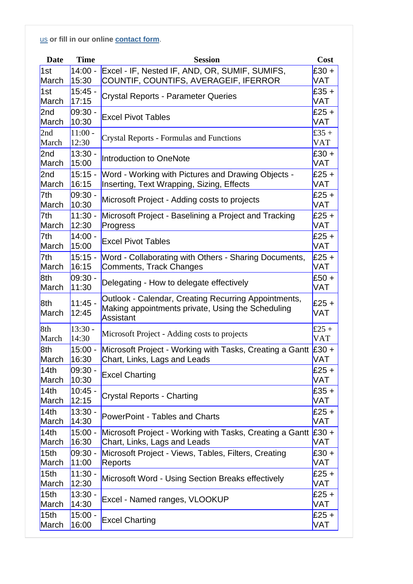[us](mailto:info@archwayct.co.uk?subject=Online%20training) **or fill in our online [contact](http://www.archwayct.co.uk/contact) form**.

| <b>Date</b>              | <b>Time</b>        | <b>Session</b>                                                                                                                                  |                |
|--------------------------|--------------------|-------------------------------------------------------------------------------------------------------------------------------------------------|----------------|
| 1st                      | $14:00 -$          | Excel - IF, Nested IF, AND, OR, SUMIF, SUMIFS,                                                                                                  | $£30 +$<br>VAT |
| March                    | 15:30              | COUNTIF, COUNTIFS, AVERAGEIF, IFERROR                                                                                                           |                |
| 1st                      | $15:45 -$          | $E35 +$<br><b>Crystal Reports - Parameter Queries</b><br>VAT                                                                                    |                |
| March                    | 17:15              |                                                                                                                                                 |                |
| 2nd                      | 09:30 -            | <b>Excel Pivot Tables</b>                                                                                                                       | $£25 +$<br>VAT |
| March                    | 10:30              |                                                                                                                                                 |                |
| 2nd                      | $11:00 -$          | <b>Crystal Reports - Formulas and Functions</b>                                                                                                 |                |
| March                    | 12:30              |                                                                                                                                                 | <b>VAT</b>     |
| 2 <sub>nd</sub><br>March | $13:30 -$          | Introduction to OneNote                                                                                                                         | $£30 +$<br>VAT |
|                          | 15:00              |                                                                                                                                                 |                |
| 2nd<br>March             | $15:15 -$<br>16:15 | Word - Working with Pictures and Drawing Objects -<br>Inserting, Text Wrapping, Sizing, Effects                                                 | $£25 +$<br>VAT |
| 7th                      | 09:30 -            |                                                                                                                                                 | $£25 +$        |
| March                    | 10:30              | Microsoft Project - Adding costs to projects                                                                                                    | VAT            |
| 7th                      | $11:30 -$          | Microsoft Project - Baselining a Project and Tracking                                                                                           | $E25 +$        |
| March                    | 12:30              | Progress                                                                                                                                        | <b>VAT</b>     |
| 7th                      | $14:00 -$          |                                                                                                                                                 | $£25 +$        |
| March                    | 15:00              | <b>Excel Pivot Tables</b>                                                                                                                       | VAT            |
| 7th                      | $15:15 -$          | Word - Collaborating with Others - Sharing Documents,                                                                                           | $E25 +$        |
| March                    | 16:15              | Comments, Track Changes                                                                                                                         | VAT            |
| 8th                      | $ 09:30 -$         |                                                                                                                                                 | $£50 +$        |
| March                    | 11:30              | Delegating - How to delegate effectively                                                                                                        | VAT            |
| 8th<br>March             | $11:45 -$<br>12:45 | Outlook - Calendar, Creating Recurring Appointments,<br>$£25 +$<br>Making appointments private, Using the Scheduling<br><b>VAT</b><br>Assistant |                |
| 8th                      | $13:30 -$          | Microsoft Project - Adding costs to projects                                                                                                    |                |
| March                    | 14:30              |                                                                                                                                                 |                |
| 8th                      | $15:00 -$          | Microsoft Project - Working with Tasks, Creating a Gantt<br>$E30 +$                                                                             |                |
| March                    | 16:30              | Chart, Links, Lags and Leads<br>VAT                                                                                                             |                |
| 14th                     | 09:30 -            | <b>Excel Charting</b>                                                                                                                           | $E25 +$        |
| March                    | 10:30              |                                                                                                                                                 | VAT            |
| 14th                     | $10:45 -$          | <b>Crystal Reports - Charting</b>                                                                                                               | $E35 +$        |
| March                    | 12:15              |                                                                                                                                                 | VAT            |
| 14th                     | $13:30 -$          | <b>PowerPoint - Tables and Charts</b>                                                                                                           | $£25 +$        |
| March                    | 14:30              |                                                                                                                                                 | VAT            |
| 14th                     | $15:00 -$          | Microsoft Project - Working with Tasks, Creating a Gantt                                                                                        | $E30 +$        |
| March                    | 16:30              | Chart, Links, Lags and Leads                                                                                                                    | VAT            |
| 15 <sub>th</sub>         | 09:30 -            | Microsoft Project - Views, Tables, Filters, Creating                                                                                            | $£30 +$        |
| March                    | 11:00              | Reports                                                                                                                                         | <b>VAT</b>     |
| 15 <sub>th</sub>         | $11:30 -$          | Microsoft Word - Using Section Breaks effectively                                                                                               | $£25 +$<br>VAT |
| March                    | 12:30              |                                                                                                                                                 |                |
| 15 <sub>th</sub>         | $13:30 -$          | Excel - Named ranges, VLOOKUP                                                                                                                   |                |
| March                    | 14:30              |                                                                                                                                                 | <b>VAT</b>     |
| 15 <sub>th</sub>         | $15:00 -$          | <b>Excel Charting</b>                                                                                                                           | $£25 +$        |
| March                    | 16:00              |                                                                                                                                                 | VAT            |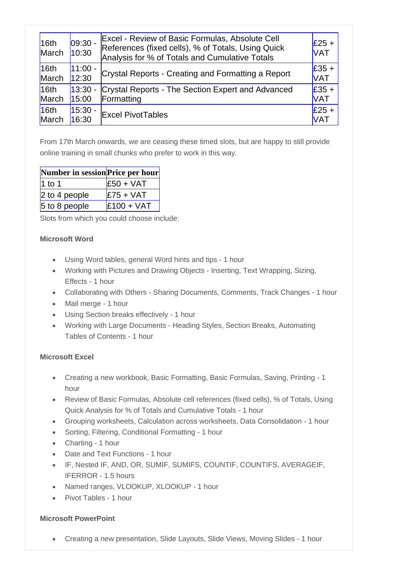| 16th<br>March | $ 09:30 -$<br>10:30 | <b>Excel - Review of Basic Formulas, Absolute Cell</b><br>References (fixed cells), % of Totals, Using Quick<br>Analysis for % of Totals and Cumulative Totals | $£25 +$<br><b>VAT</b> |
|---------------|---------------------|----------------------------------------------------------------------------------------------------------------------------------------------------------------|-----------------------|
| 16th          | $11:00 -$           | Crystal Reports - Creating and Formatting a Report                                                                                                             | $£35 +$               |
| March         | 12:30               |                                                                                                                                                                | <b>VAT</b>            |
| 16th          | $13:30 -$           | Crystal Reports - The Section Expert and Advanced                                                                                                              | $£35 +$               |
| March         | 15:00               | Formatting                                                                                                                                                     | <b>VAT</b>            |
| 16th          | $15:30 -$           | <b>Excel PivotTables</b>                                                                                                                                       | $E25 +$               |
| March         | 16:30               |                                                                                                                                                                | <b>VAT</b>            |

From 17th March onwards, we are ceasing these timed slots, but are happy to still provide online training in small chunks who prefer to work in this way.

| Number in session Price per hour |              |
|----------------------------------|--------------|
| $1$ to 1                         | $E50 + VAT$  |
| 2 to 4 people                    | $E75 + VAT$  |
| 5 to 8 people                    | $E100 + VAT$ |

Slots from which you could choose include:

#### **Microsoft Word**

- Using Word tables, general Word hints and tips 1 hour
- Working with Pictures and Drawing Objects Inserting, Text Wrapping, Sizing, Effects - 1 hour
- Collaborating with Others Sharing Documents, Comments, Track Changes 1 hour
- Mail merge 1 hour
- Using Section breaks effectively 1 hour
- Working with Large Documents Heading Styles, Section Breaks, Automating Tables of Contents - 1 hour

#### **Microsoft Excel**

- Creating a new workbook, Basic Formatting, Basic Formulas, Saving, Printing 1 hour
- Review of Basic Formulas, Absolute cell references (fixed cells), % of Totals, Using Quick Analysis for % of Totals and Cumulative Totals - 1 hour
- Grouping worksheets, Calculation across worksheets, Data Consolidation 1 hour
- Sorting, Filtering, Conditional Formatting 1 hour
- Charting 1 hour
- Date and Text Functions 1 hour
- IF, Nested IF, AND, OR, SUMIF, SUMIFS, COUNTIF, COUNTIFS, AVERAGEIF, IFERROR - 1.5 hours
- Named ranges, VLOOKUP, XLOOKUP 1 hour
- Pivot Tables 1 hour

#### **Microsoft PowerPoint**

• Creating a new presentation, Slide Layouts, Slide Views, Moving Slides - 1 hour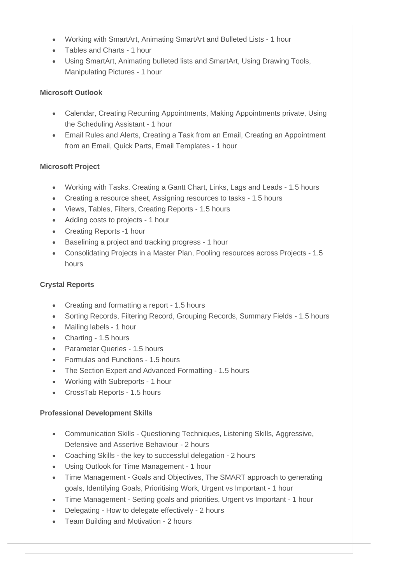- Working with SmartArt, Animating SmartArt and Bulleted Lists 1 hour
- Tables and Charts 1 hour
- Using SmartArt, Animating bulleted lists and SmartArt, Using Drawing Tools, Manipulating Pictures - 1 hour

#### **Microsoft Outlook**

- Calendar, Creating Recurring Appointments, Making Appointments private, Using the Scheduling Assistant - 1 hour
- Email Rules and Alerts, Creating a Task from an Email, Creating an Appointment from an Email, Quick Parts, Email Templates - 1 hour

#### **Microsoft Project**

- Working with Tasks, Creating a Gantt Chart, Links, Lags and Leads 1.5 hours
- Creating a resource sheet, Assigning resources to tasks 1.5 hours
- Views, Tables, Filters, Creating Reports 1.5 hours
- Adding costs to projects 1 hour
- Creating Reports -1 hour
- Baselining a project and tracking progress 1 hour
- Consolidating Projects in a Master Plan, Pooling resources across Projects 1.5 hours

#### **Crystal Reports**

- Creating and formatting a report 1.5 hours
- Sorting Records, Filtering Record, Grouping Records, Summary Fields 1.5 hours
- Mailing labels 1 hour
- Charting 1.5 hours
- Parameter Queries 1.5 hours
- Formulas and Functions 1.5 hours
- The Section Expert and Advanced Formatting 1.5 hours
- Working with Subreports 1 hour
- CrossTab Reports 1.5 hours

#### **Professional Development Skills**

- Communication Skills Questioning Techniques, Listening Skills, Aggressive, Defensive and Assertive Behaviour - 2 hours
- Coaching Skills the key to successful delegation 2 hours
- Using Outlook for Time Management 1 hour
- Time Management Goals and Objectives, The SMART approach to generating goals, Identifying Goals, Prioritising Work, Urgent vs Important - 1 hour
- Time Management Setting goals and priorities, Urgent vs Important 1 hour
- Delegating How to delegate effectively 2 hours
- Team Building and Motivation 2 hours